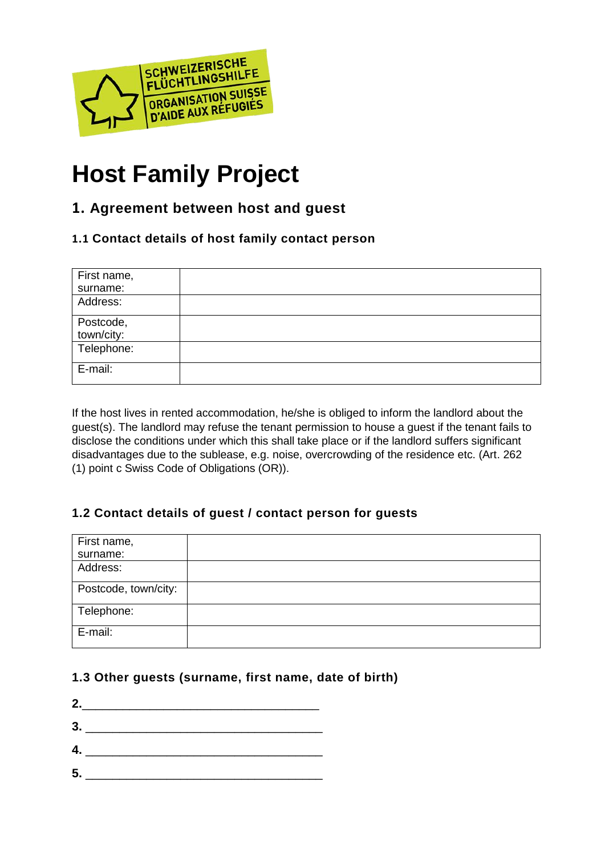

# **Host Family Project**

## **1. Agreement between host and guest**

#### **1.1 Contact details of host family contact person**

| First name,             |  |
|-------------------------|--|
| surname:                |  |
| Address:                |  |
| Postcode,<br>town/city: |  |
| Telephone:              |  |
| E-mail:                 |  |

If the host lives in rented accommodation, he/she is obliged to inform the landlord about the guest(s). The landlord may refuse the tenant permission to house a guest if the tenant fails to disclose the conditions under which this shall take place or if the landlord suffers significant disadvantages due to the sublease, e.g. noise, overcrowding of the residence etc. (Art. 262 (1) point c Swiss Code of Obligations (OR)).

## **1.2 Contact details of guest / contact person for guests**

| First name,          |  |
|----------------------|--|
| surname:             |  |
| Address:             |  |
| Postcode, town/city: |  |
| Telephone:           |  |
| E-mail:              |  |

#### **1.3 Other guests (surname, first name, date of birth)**

- **2.**\_\_\_\_\_\_\_\_\_\_\_\_\_\_\_\_\_\_\_\_\_\_\_\_\_\_\_\_\_\_\_\_\_\_\_ **3.** \_\_\_\_\_\_\_\_\_\_\_\_\_\_\_\_\_\_\_\_\_\_\_\_\_\_\_\_\_\_\_\_\_\_\_
- **4.** \_\_\_\_\_\_\_\_\_\_\_\_\_\_\_\_\_\_\_\_\_\_\_\_\_\_\_\_\_\_\_\_\_\_\_
- $5.$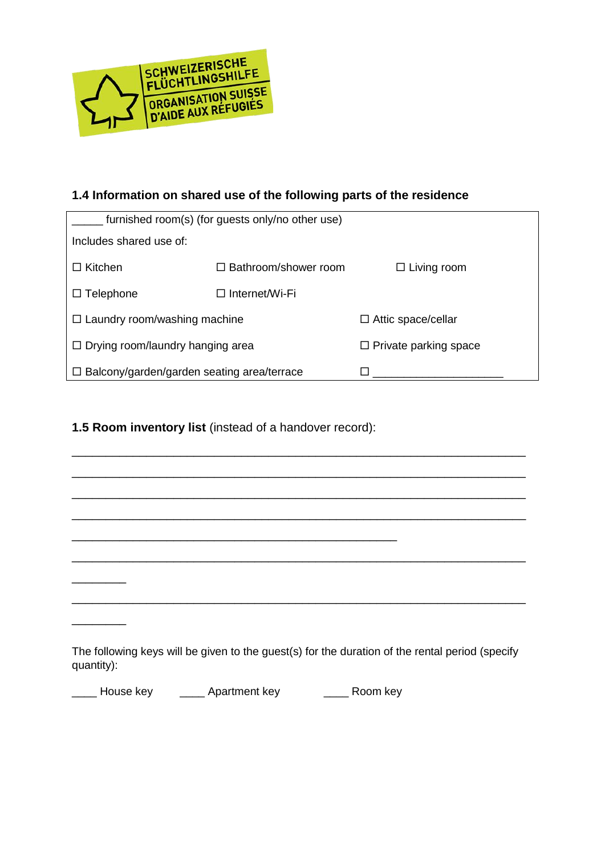

## **1.4 Information on shared use of the following parts of the residence**

| furnished room(s) (for guests only/no other use)  |                             |                              |  |  |
|---------------------------------------------------|-----------------------------|------------------------------|--|--|
| Includes shared use of:                           |                             |                              |  |  |
| $\Box$ Kitchen                                    | $\Box$ Bathroom/shower room | $\Box$ Living room           |  |  |
| $\Box$ Telephone                                  | □ Internet/Wi-Fi            |                              |  |  |
| $\Box$ Laundry room/washing machine               |                             | $\Box$ Attic space/cellar    |  |  |
| $\Box$ Drying room/laundry hanging area           |                             | $\Box$ Private parking space |  |  |
| $\Box$ Balcony/garden/garden seating area/terrace |                             |                              |  |  |

#### **1.5 Room inventory list** (instead of a handover record):

| quantity): | The following keys will be given to the guest(s) for the duration of the rental period (specify |  |  |
|------------|-------------------------------------------------------------------------------------------------|--|--|

\_\_\_\_\_\_\_\_\_\_\_\_\_\_\_\_\_\_\_\_\_\_\_\_\_\_\_\_\_\_\_\_\_\_\_\_\_\_\_\_\_\_\_\_\_\_\_\_\_\_\_\_\_\_\_\_\_\_\_\_\_\_\_\_\_\_\_

\_\_\_\_\_\_\_\_\_\_\_\_\_\_\_\_\_\_\_\_\_\_\_\_\_\_\_\_\_\_\_\_\_\_\_\_\_\_\_\_\_\_\_\_\_\_\_\_\_\_\_\_\_\_\_\_\_\_\_\_\_\_\_\_\_\_\_

quantity)

**EXECUTE:** House key **Apartment key <b>EXECUTE:** Room key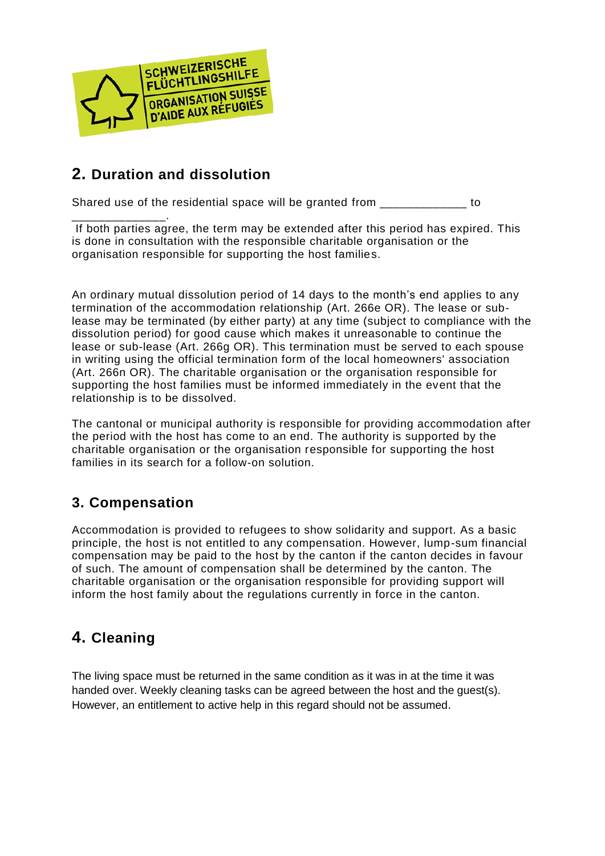

# **2. Duration and dissolution**

Shared use of the residential space will be granted from  $\qquad \qquad$  to

\_\_\_\_\_\_\_\_\_\_\_\_\_\_. If both parties agree, the term may be extended after this period has expired. This is done in consultation with the responsible charitable organisation or the organisation responsible for supporting the host families.

An ordinary mutual dissolution period of 14 days to the month's end applies to any termination of the accommodation relationship (Art. 266e OR). The lease or sublease may be terminated (by either party) at any time (subject to compliance with the dissolution period) for good cause which makes it unreasonable to continue the lease or sub-lease (Art. 266g OR). This termination must be served to each spouse in writing using the official termination form of the local homeowners' association (Art. 266n OR). The charitable organisation or the organisation responsible for supporting the host families must be informed immediately in the event that the relationship is to be dissolved.

The cantonal or municipal authority is responsible for providing accommodation after the period with the host has come to an end. The authority is supported by the charitable organisation or the organisation responsible for supporting the host families in its search for a follow-on solution.

## **3. Compensation**

Accommodation is provided to refugees to show solidarity and support. As a basic principle, the host is not entitled to any compensation. However, lump-sum financial compensation may be paid to the host by the canton if the canton decides in favour of such. The amount of compensation shall be determined by the canton. The charitable organisation or the organisation responsible for providing support will inform the host family about the regulations currently in force in the canton.

# **4. Cleaning**

The living space must be returned in the same condition as it was in at the time it was handed over. Weekly cleaning tasks can be agreed between the host and the guest(s). However, an entitlement to active help in this regard should not be assumed.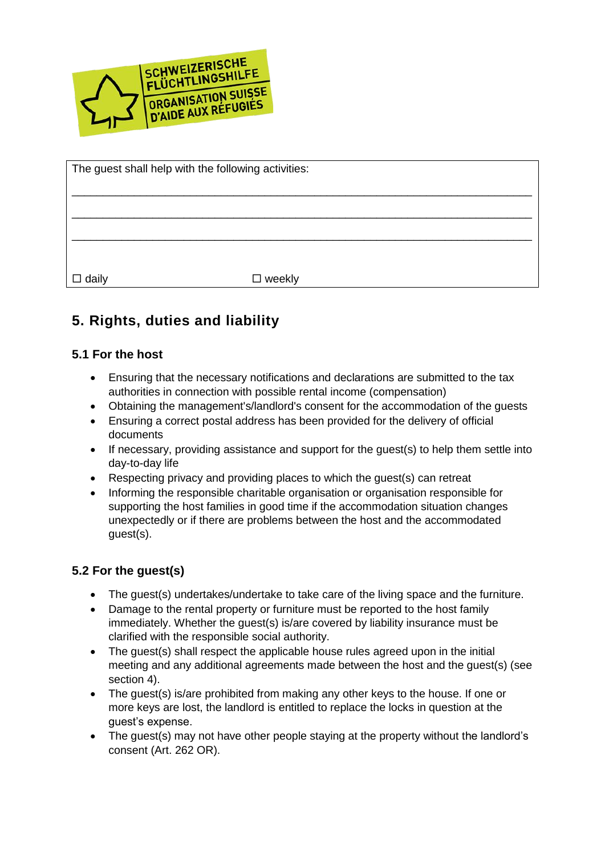

| The guest shall help with the following activities: |               |  |  |
|-----------------------------------------------------|---------------|--|--|
|                                                     |               |  |  |
|                                                     |               |  |  |
|                                                     |               |  |  |
|                                                     |               |  |  |
|                                                     |               |  |  |
|                                                     |               |  |  |
|                                                     |               |  |  |
|                                                     |               |  |  |
|                                                     |               |  |  |
| $\square$ daily                                     | $\Box$ weekly |  |  |

# **5. Rights, duties and liability**

### **5.1 For the host**

- Ensuring that the necessary notifications and declarations are submitted to the tax authorities in connection with possible rental income (compensation)
- Obtaining the management's/landlord's consent for the accommodation of the guests
- Ensuring a correct postal address has been provided for the delivery of official documents
- If necessary, providing assistance and support for the guest(s) to help them settle into day-to-day life
- Respecting privacy and providing places to which the guest(s) can retreat
- Informing the responsible charitable organisation or organisation responsible for supporting the host families in good time if the accommodation situation changes unexpectedly or if there are problems between the host and the accommodated guest(s).

#### **5.2 For the guest(s)**

- The guest(s) undertakes/undertake to take care of the living space and the furniture.
- Damage to the rental property or furniture must be reported to the host family immediately. Whether the guest(s) is/are covered by liability insurance must be clarified with the responsible social authority.
- The guest(s) shall respect the applicable house rules agreed upon in the initial meeting and any additional agreements made between the host and the guest(s) (see section 4).
- The guest(s) is/are prohibited from making any other keys to the house. If one or more keys are lost, the landlord is entitled to replace the locks in question at the guest's expense.
- The guest(s) may not have other people staying at the property without the landlord's consent (Art. 262 OR).